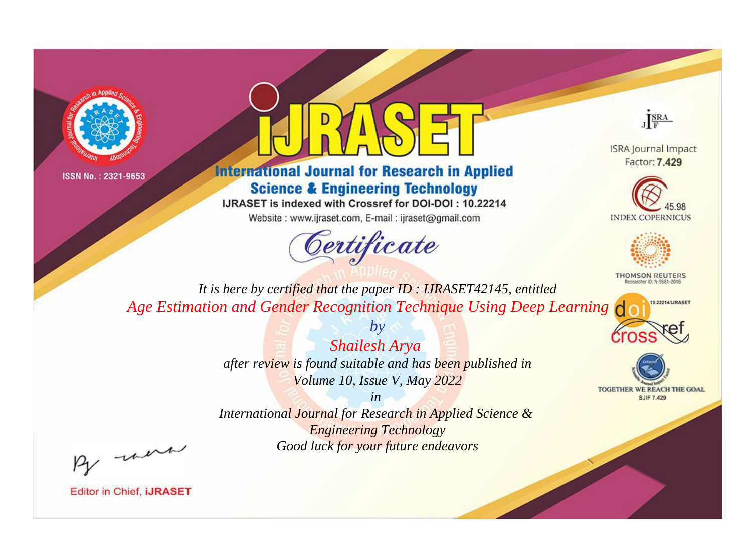



# **International Journal for Research in Applied Science & Engineering Technology**

IJRASET is indexed with Crossref for DOI-DOI: 10.22214

Website: www.ijraset.com, E-mail: ijraset@gmail.com



JERA

**ISRA Journal Impact** Factor: 7.429





**THOMSON REUTERS** 



TOGETHER WE REACH THE GOAL **SJIF 7.429** 

*It is here by certified that the paper ID : IJRASET42145, entitled Age Estimation and Gender Recognition Technique Using Deep Learning*

> *by Shailesh Arya after review is found suitable and has been published in Volume 10, Issue V, May 2022*

> > *in*

*International Journal for Research in Applied Science & Engineering Technology Good luck for your future endeavors*

By morn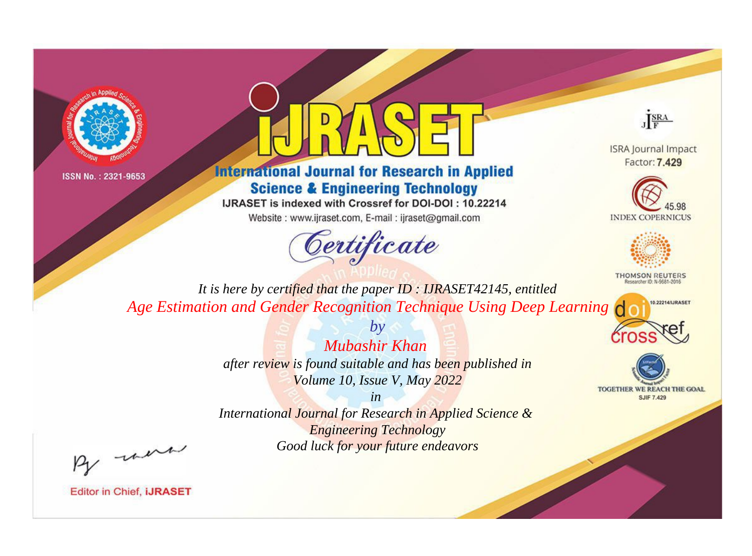



# **International Journal for Research in Applied Science & Engineering Technology**

IJRASET is indexed with Crossref for DOI-DOI: 10.22214

Website: www.ijraset.com, E-mail: ijraset@gmail.com



JERA

**ISRA Journal Impact** Factor: 7.429





**THOMSON REUTERS** 



TOGETHER WE REACH THE GOAL **SJIF 7.429** 

*It is here by certified that the paper ID : IJRASET42145, entitled Age Estimation and Gender Recognition Technique Using Deep Learning*

> *Mubashir Khan after review is found suitable and has been published in Volume 10, Issue V, May 2022*

*by*

*in* 

*International Journal for Research in Applied Science & Engineering Technology Good luck for your future endeavors*

By morn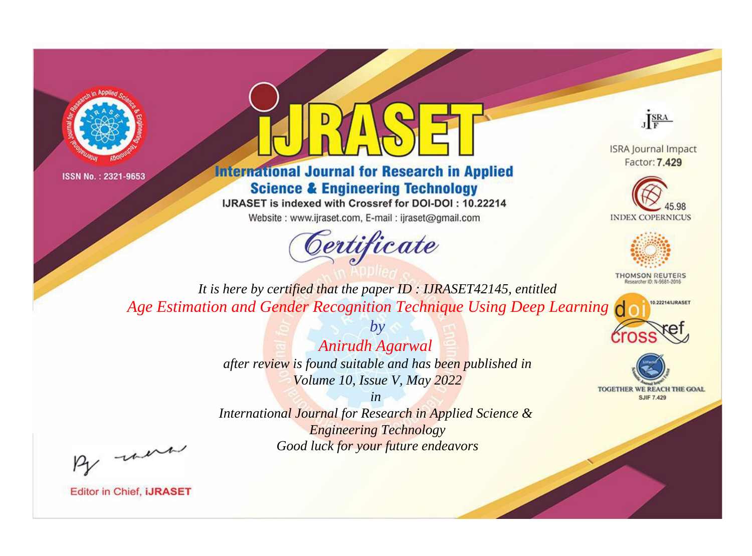



# **International Journal for Research in Applied Science & Engineering Technology**

IJRASET is indexed with Crossref for DOI-DOI: 10.22214

Website: www.ijraset.com, E-mail: ijraset@gmail.com



JERA

**ISRA Journal Impact** Factor: 7.429





**THOMSON REUTERS** 



TOGETHER WE REACH THE GOAL **SJIF 7.429** 

*It is here by certified that the paper ID : IJRASET42145, entitled Age Estimation and Gender Recognition Technique Using Deep Learning*

> *Anirudh Agarwal after review is found suitable and has been published in Volume 10, Issue V, May 2022*

*by*

*in* 

*International Journal for Research in Applied Science & Engineering Technology Good luck for your future endeavors*

By morn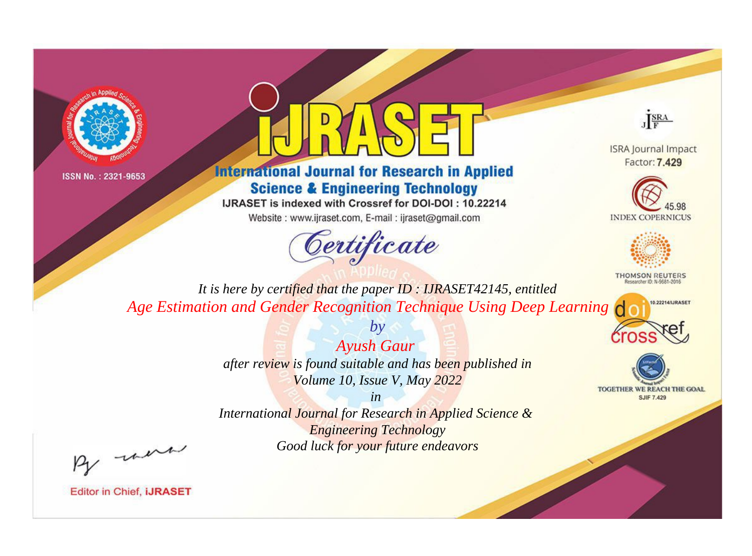



# **International Journal for Research in Applied Science & Engineering Technology**

IJRASET is indexed with Crossref for DOI-DOI: 10.22214

Website: www.ijraset.com, E-mail: ijraset@gmail.com



JERA

**ISRA Journal Impact** Factor: 7.429





**THOMSON REUTERS** 



TOGETHER WE REACH THE GOAL **SJIF 7.429** 

*It is here by certified that the paper ID : IJRASET42145, entitled Age Estimation and Gender Recognition Technique Using Deep Learning*

> *Ayush Gaur after review is found suitable and has been published in Volume 10, Issue V, May 2022*

*by*

*in* 

*International Journal for Research in Applied Science & Engineering Technology Good luck for your future endeavors*

By morn